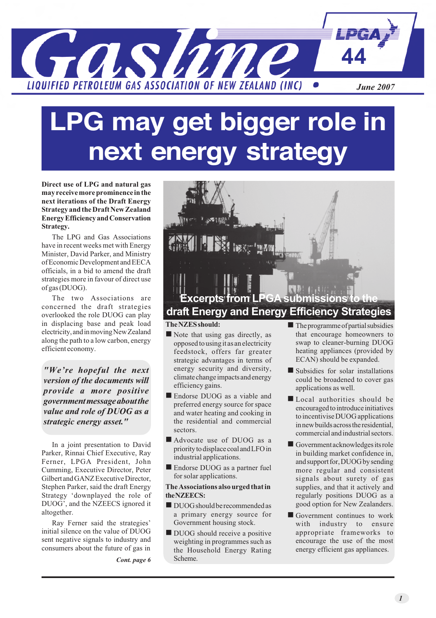

# **LPG may get bigger role in next energy strategy**

Direct use of LPG and natural gas may receive more prominence in the next iterations of the Draft Energy Strategy and the Draft New Zealand Energy Efficiency and Conservation Strategy.

The LPG and Gas Associations have in recent weeks met with Energy Minister, David Parker, and Ministry of Economic Development and EECA officials, in a bid to amend the draft strategies more in favour of direct use of gas (DUOG).

The two Associations are concerned the draft strategies overlooked the role DUOG can play in displacing base and peak load electricity, and in moving New Zealand along the path to a low carbon, energy efficient economy.

"We're hopeful the next version of the documents will provide a more positive government message about the value and role of DUOG as a strategic energy asset."

In a joint presentation to David Parker, Rinnai Chief Executive, Ray Ferner, LPGA President, John Cumming, Executive Director, Peter Gilbert and GANZ Executive Director, Stephen Parker, said the draft Energy Strategy 'downplayed the role of DUOG', and the NZEECS ignored it altogether.

Ray Ferner said the strategies' initial silence on the value of DUOG sent negative signals to industry and consumers about the future of gas in

Cont. page 6



The NZES should:

- Note that using gas directly, as opposed to using it as an electricity feedstock, offers far greater strategic advantages in terms of energy security and diversity, climate change impacts and energy efficiency gains.
- - Endorse DUOG as a viable and preferred energy source for space and water heating and cooking in the residential and commercial sectors.
- Advocate use of DUOG as a priority to displace coal and LFO in industrial applications.
- Endorse DUOG as a partner fuel for solar applications.

#### The Associations also urged that in the NZEECS:

- $\blacksquare$  DUOG should be recommended as a primary energy source for Government housing stock.
- **DUOG** should receive a positive weighting in programmes such as the Household Energy Rating Scheme.
- **The programme of partial subsidies** that encourage homeowners to swap to cleaner-burning DUOG heating appliances (provided by ECAN) should be expanded.
- - Subsidies for solar installations could be broadened to cover gas applications as well.
- Local authorities should be encouraged to introduce initiatives to incentivise DUOG applications in new builds across the residential, commercial and industrial sectors.
- - Government acknowledges its role in building market confidence in, and support for, DUOG by sending more regular and consistent signals about surety of gas supplies, and that it actively and regularly positions DUOG as a good option for New Zealanders.
- - Government continues to work with industry to ensure appropriate frameworks to encourage the use of the most energy efficient gas appliances.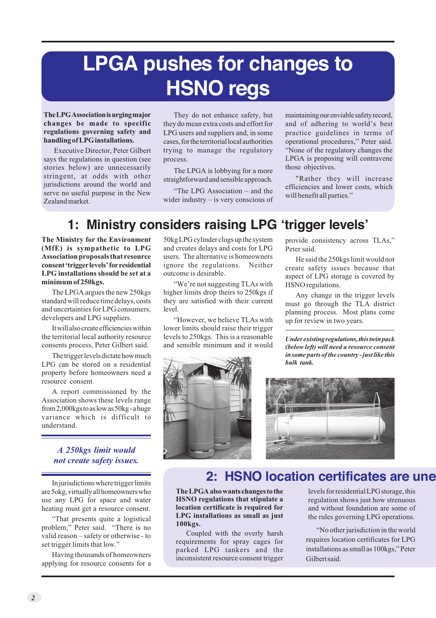## **LPGA pushes for changes to HSNO regs**

#### The LPG Association is urging major changes be made to specific regulations governing safety and handling of LPG installations.

Executive Director, Peter Gilbert says the regulations in question (see stories below) are unnecessarily stringent, at odds with other jurisdictions around the world and serve no useful purpose in the New Zealand market.

They do not enhance safety, but they do mean extra costs and effort for LPG users and suppliers and, in some cases, for the territorial local authorities trying to manage the regulatory process.

The LPGA is lobbying for a more straightforward and sensible approach.

"The LPG Association – and the wider industry – is very conscious of maintaining our enviable safety record, and of adhering to world's best practice guidelines in terms of operational procedures," Peter said. "None of the regulatory changes the LPGA is proposing will contravene those objectives.

"Rather they will increase efficiencies and lower costs, which will benefit all parties."

### **1: Ministry considers raising LPG 'trigger levels'**

The Ministry for the Environment (MfE) is sympathetic to LPG Association proposals that resource consent 'trigger levels' for residential LPG installations should be set at a minimum of 250kgs.

The LPGA argues the new 250kgs standard will reduce time delays, costs and uncertainties for LPG consumers, developers and LPG suppliers.

It will also create efficiencies within the territorial local authority resource consents process, Peter Gilbert said.

The trigger levels dictate how much LPG can be stored on a residential property before homeowners need a resource consent.

A report commissioned by the Association shows these levels range from 2,000kgs to as low as 50kg - a huge variance which is difficult to understand.

#### A 250kgs limit would not create safety issues.

In jurisdictions where trigger limits are 5okg, virtually all homeowners who use any LPG for space and water heating must get a resource consent.

"That presents quite a logistical problem," Peter said. "There is no valid reason – safety or otherwise - to set trigger limits that low."

Having thousands of homeowners applying for resource consents for a 50kg LPG cylinder clogs up the system and creates delays and costs for LPG users. The alternative is homeowners ignore the regulations. Neither outcome is desirable.

"We're not suggesting TLAs with higher limits drop theirs to 250kgs if they are satisfied with their current level.

"However, we believe TLAs with lower limits should raise their trigger levels to 250kgs. This is a reasonable and sensible minimum and it would



provide consistency across TLAs," Peter said.

He said the 250kgs limit would not create safety issues because that aspect of LPG storage is covered by HSNO regulations.

Any change in the trigger levels must go through the TLA district planning process. Most plans come up for review in two years.

Under existing regulations, this twin pack (below left) will need a resource consent in some parts of the country - just like this bulk tank.



### **2: HSNO location certificates are une**

The LPGA also wants changes to the HSNO regulations that stipulate a location certificate is required for LPG installations as small as just 100kgs.

Coupled with the overly harsh requirements for spray cages for parked LPG tankers and the inconsistent resource consent trigger levels for residential LPG storage, this regulation shows just how strenuous and without foundation are some of the rules governing LPG operations.

"No other jurisdiction in the world requires location certificates for LPG installations as small as 100kgs," Peter Gilbert said.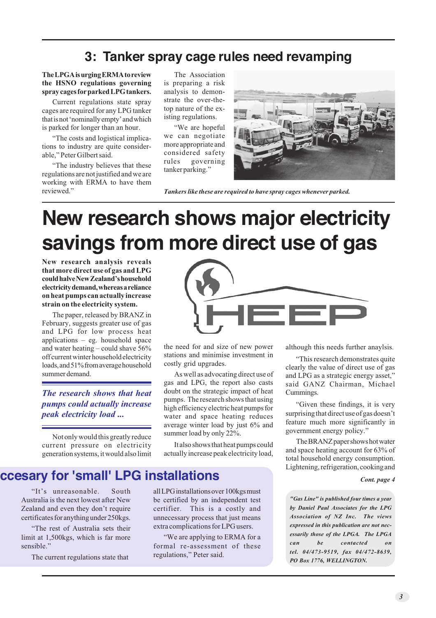### **3: Tanker spray cage rules need revamping**

The LPGA is urging ERMA to review the HSNO regulations governing spray cages for parked LPG tankers.

Current regulations state spray cages are required for any LPG tanker that is not 'nominally empty' and which is parked for longer than an hour.

"The costs and logistical implications to industry are quite considerable," Peter Gilbert said.

"The industry believes that these regulations are not justified and we are working with ERMA to have them reviewed."

The Association is preparing a risk analysis to demonstrate the over-thetop nature of the existing regulations.

"We are hopeful we can negotiate more appropriate and considered safety rules governing tanker parking."



Tankers like these are required to have spray cages whenever parked.

### **New research shows major electricity savings from more direct use of gas**

New research analysis reveals that more direct use of gas and LPG could halve New Zealand's household electricity demand, whereas a reliance on heat pumps can actually increase strain on the electricity system.

The paper, released by BRANZ in February, suggests greater use of gas and LPG for low process heat applications – eg. household space and water heating – could shave 56% off current winter household electricity loads, and 51% from average household summer demand.

The research shows that heat pumps could actually increase peak electricity load ...

Not only would this greatly reduce current pressure on electricity generation systems, it would also limit



the need for and size of new power stations and minimise investment in costly grid upgrades.

As well as advocating direct use of gas and LPG, the report also casts doubt on the strategic impact of heat pumps. The research shows that using high efficiency electric heat pumps for water and space heating reduces average winter load by just 6% and summer load by only 22%.

It also shows that heat pumps could actually increase peak electricity load,

#### **eccesary for 'small' LPG installations**

"It's unreasonable. South Australia is the next lowest after New Zealand and even they don't require certificates for anything under 250kgs.

"The rest of Australia sets their limit at 1,500kgs, which is far more sensible."

The current regulations state that

all LPG installations over 100kgs must be certified by an independent test certifier. This is a costly and unnecessary process that just means extra complications for LPG users.

"We are applying to ERMA for a formal re-assessment of these regulations," Peter said.

although this needs further anaylsis.

"This research demonstrates quite clearly the value of direct use of gas and LPG as a strategic energy asset," said GANZ Chairman, Michael Cummings.

"Given these findings, it is very surprising that direct use of gas doesn't feature much more significantly in government energy policy."

The BRANZ paper shows hot water and space heating account for 63% of total household energy consumption. Lightening, refrigeration, cooking and

#### Cont. page 4

"Gas Line" is published four times a year by Daniel Paul Associates for the LPG Association of NZ Inc. The views expressed in this publication are not necessarily those of the LPGA. The LPGA can be contacted on tel. 04/473-9519, fax 04/472-8639, PO Box 1776, WELLINGTON.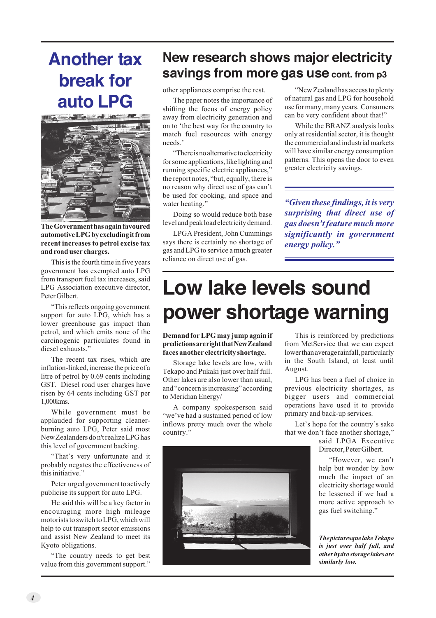### **Another tax break for auto LPG**



The Government has again favoured automotive LPG by excluding it from recent increases to petrol excise tax and road user charges.

This is the fourth time in five years government has exempted auto LPG from transport fuel tax increases, said LPG Association executive director, Peter Gilbert.

"This reflects ongoing government support for auto LPG, which has a lower greenhouse gas impact than petrol, and which emits none of the carcinogenic particulates found in diesel exhausts."

The recent tax rises, which are inflation-linked, increase the price of a litre of petrol by 0.69 cents including GST. Diesel road user charges have risen by 64 cents including GST per 1,000kms.

While government must be applauded for supporting cleanerburning auto LPG, Peter said most New Zealanders do n't realize LPG has this level of government backing.

"That's very unfortunate and it probably negates the effectiveness of this initiative."

Peter urged government to actively publicise its support for auto LPG.

He said this will be a key factor in encouraging more high mileage motorists to switch to LPG, which will help to cut transport sector emissions and assist New Zealand to meet its Kyoto obligations.

"The country needs to get best value from this government support."

### **New research shows major electricity savings from more gas use cont. from p3**

other appliances comprise the rest.

The paper notes the importance of shifting the focus of energy policy away from electricity generation and on to 'the best way for the country to match fuel resources with energy needs.'

"There is no alternative to electricity for some applications, like lighting and running specific electric appliances," the report notes, "but, equally, there is no reason why direct use of gas can't be used for cooking, and space and water heating."

Doing so would reduce both base level and peak load electricity demand.

LPGA President, John Cummings says there is certainly no shortage of gas and LPG to service a much greater reliance on direct use of gas.

"New Zealand has access to plenty of natural gas and LPG for household use for many, many years. Consumers can be very confident about that!"

While the BRANZ analysis looks only at residential sector, it is thought the commercial and industrial markets will have similar energy consumption patterns. This opens the door to even greater electricity savings.

"Given these findings, it is very surprising that direct use of gas doesn't feature much more significantly in government energy policy."

### **Low lake levels sound power shortage warning**

#### Demand for LPG may jump again if predictions are right that New Zealand faces another electricity shortage.

Storage lake levels are low, with Tekapo and Pukaki just over half full. Other lakes are also lower than usual, and "concern is increasing" according to Meridian Energy/

A company spokesperson said "we've had a sustained period of low inflows pretty much over the whole country."

This is reinforced by predictions from MetService that we can expect lower than average rainfall, particularly in the South Island, at least until August.

LPG has been a fuel of choice in previous electricity shortages, as bigger users and commercial operations have used it to provide primary and back-up services.

Let's hope for the country's sake that we don't face another shortage,"

said LPGA Executive Director, Peter Gilbert.

"However, we can't help but wonder by how much the impact of an electricity shortage would be lessened if we had a more active approach to gas fuel switching."

The picturesque lake Tekapo is just over half full, and other hydro storage lakes are similarly low.

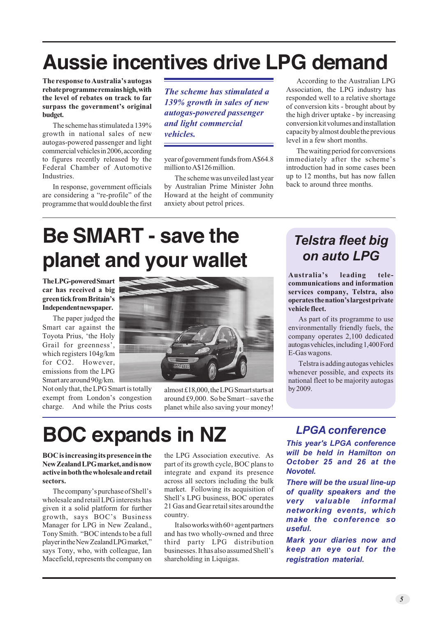## **Aussie incentives drive LPG demand**

The response to Australia's autogas rebate programme remains high, with the level of rebates on track to far surpass the government's original budget.

The scheme has stimulated a 139% growth in national sales of new autogas-powered passenger and light commercial vehicles in 2006, according to figures recently released by the Federal Chamber of Automotive Industries.

In response, government officials are considering a "re-profile" of the programme that would double the first

The scheme has stimulated a 139% growth in sales of new autogas-powered passenger and light commercial vehicles.

year of government funds from A\$64.8 million to A\$126 million.

The scheme was unveiled last year by Australian Prime Minister John Howard at the height of community anxiety about petrol prices.

According to the Australian LPG Association, the LPG industry has responded well to a relative shortage of conversion kits - brought about by the high driver uptake - by increasing conversion kit volumes and installation capacity by almost double the previous level in a few short months.

The waiting period for conversions immediately after the scheme's introduction had in some cases been up to 12 months, but has now fallen back to around three months.

## **Be SMART - save the planet and your wallet**

The LPG-powered Smart car has received a big green tick from Britain's Independent newspaper.

The paper judged the Smart car against the Toyota Prius, 'the Holy Grail for greenness', which registers 104g/km for CO2. However, emissions from the LPG Smart are around 90g/km.

Not only that, the LPG Smart is totally exempt from London's congestion charge. And while the Prius costs



almost £18,000, the LPG Smart starts at around £9,000. So be Smart – save the planet while also saving your money!

### Telstra fleet big on auto LPG

Australia's leading telecommunications and information services company, Telstra, also operates the nation's largest private vehicle fleet.

As part of its programme to use environmentally friendly fuels, the company operates 2,100 dedicated autogas vehicles, including 1,400 Ford E-Gas wagons.

Telstra is adding autogas vehicles whenever possible, and expects its national fleet to be majority autogas by 2009.

## **BOC expands in NZ**

BOC is increasing its presence in the New Zealand LPG market, and is now active in both the wholesale and retail sectors.

The company's purchase of Shell's wholesale and retail LPG interests has given it a solid platform for further growth, says BOC's Business Manager for LPG in New Zealand., Tony Smith. "BOC intends to be a full player in the New Zealand LPG market," says Tony, who, with colleague, Ian Macefield, represents the company on

the LPG Association executive. As part of its growth cycle, BOC plans to integrate and expand its presence across all sectors including the bulk market. Following its acquisition of Shell's LPG business, BOC operates 21 Gas and Gear retail sites around the country.

It also works with 60+ agent partners and has two wholly-owned and three third party LPG distribution businesses. It has also assumed Shell's shareholding in Liquigas.

#### LPGA conference

This year's LPGA conference will be held in Hamilton on October 25 and 26 at the Novotel.

There will be the usual line-up of quality speakers and the very valuable informal networking events, which make the conference so useful.

Mark your diaries now and keep an eye out for the registration material.